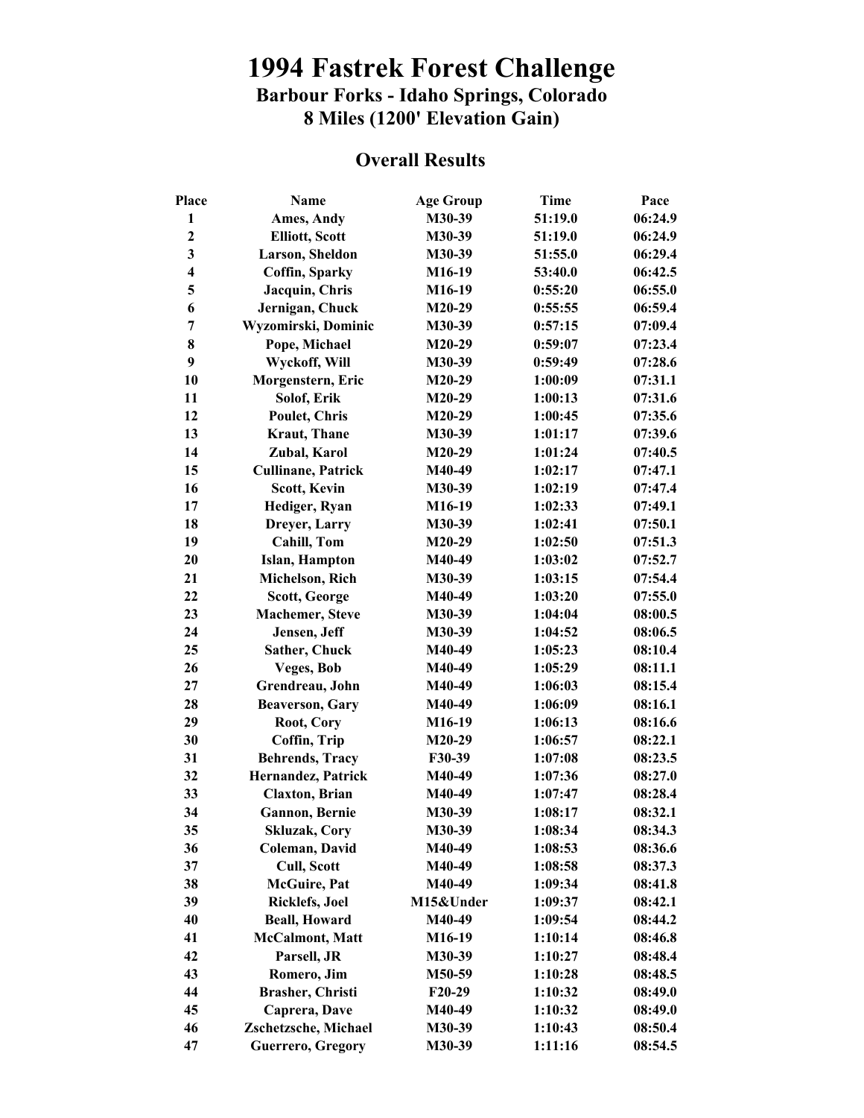## **1994 Fastrek Forest Challenge Barbour Forks - Idaho Springs, Colorado 8 Miles (1200' Elevation Gain)**

## **Overall Results**

| Place                   | Name                      | <b>Age Group</b> | <b>Time</b> | Pace    |
|-------------------------|---------------------------|------------------|-------------|---------|
| $\mathbf{1}$            | Ames, Andy                | M30-39           | 51:19.0     | 06:24.9 |
| $\overline{\mathbf{c}}$ | <b>Elliott, Scott</b>     | M30-39           | 51:19.0     | 06:24.9 |
| $\mathbf{3}$            | Larson, Sheldon           | M30-39           | 51:55.0     | 06:29.4 |
| $\overline{\mathbf{4}}$ | Coffin, Sparky            | M16-19           | 53:40.0     | 06:42.5 |
| 5                       | Jacquin, Chris            | M16-19           | 0:55:20     | 06:55.0 |
| 6                       | Jernigan, Chuck           | M20-29           | 0:55:55     | 06:59.4 |
| 7                       | Wyzomirski, Dominic       | M30-39           | 0:57:15     | 07:09.4 |
| 8                       | Pope, Michael             | $M20-29$         | 0:59:07     | 07:23.4 |
| 9                       | Wyckoff, Will             | M30-39           | 0:59:49     | 07:28.6 |
| 10                      | Morgenstern, Eric         | M20-29           | 1:00:09     | 07:31.1 |
| 11                      | Solof, Erik               | M20-29           | 1:00:13     | 07:31.6 |
| 12                      | Poulet, Chris             | $M20-29$         | 1:00:45     | 07:35.6 |
| 13                      | Kraut, Thane              | M30-39           | 1:01:17     | 07:39.6 |
| 14                      | Zubal, Karol              | $M20-29$         | 1:01:24     | 07:40.5 |
| 15                      |                           | M40-49           | 1:02:17     | 07:47.1 |
|                         | <b>Cullinane, Patrick</b> |                  |             |         |
| 16                      | <b>Scott, Kevin</b>       | M30-39           | 1:02:19     | 07:47.4 |
| 17                      | Hediger, Ryan             | M16-19           | 1:02:33     | 07:49.1 |
| 18                      | Dreyer, Larry             | M30-39           | 1:02:41     | 07:50.1 |
| 19                      | <b>Cahill, Tom</b>        | M20-29           | 1:02:50     | 07:51.3 |
| 20                      | Islan, Hampton            | M40-49           | 1:03:02     | 07:52.7 |
| 21                      | Michelson, Rich           | M30-39           | 1:03:15     | 07:54.4 |
| 22                      | Scott, George             | M40-49           | 1:03:20     | 07:55.0 |
| 23                      | <b>Machemer</b> , Steve   | M30-39           | 1:04:04     | 08:00.5 |
| 24                      | Jensen, Jeff              | M30-39           | 1:04:52     | 08:06.5 |
| 25                      | Sather, Chuck             | M40-49           | 1:05:23     | 08:10.4 |
| 26                      | Veges, Bob                | M40-49           | 1:05:29     | 08:11.1 |
| 27                      | Grendreau, John           | M40-49           | 1:06:03     | 08:15.4 |
| 28                      | <b>Beaverson, Gary</b>    | M40-49           | 1:06:09     | 08:16.1 |
| 29                      | Root, Cory                | M16-19           | 1:06:13     | 08:16.6 |
| 30                      | Coffin, Trip              | $M20-29$         | 1:06:57     | 08:22.1 |
| 31                      | <b>Behrends, Tracy</b>    | F30-39           | 1:07:08     | 08:23.5 |
| 32                      | Hernandez, Patrick        | M40-49           | 1:07:36     | 08:27.0 |
| 33                      | <b>Claxton</b> , Brian    | M40-49           | 1:07:47     | 08:28.4 |
| 34                      | <b>Gannon</b> , Bernie    | M30-39           | 1:08:17     | 08:32.1 |
| 35                      | Skluzak, Cory             | M30-39           | 1:08:34     | 08:34.3 |
| 36                      | Coleman, David            | M40-49           | 1:08:53     | 08:36.6 |
| 37                      | <b>Cull, Scott</b>        | M40-49           | 1:08:58     | 08:37.3 |
| 38                      | <b>McGuire</b> , Pat      | M40-49           | 1:09:34     | 08:41.8 |
| 39                      | Ricklefs, Joel            | M15&Under        | 1:09:37     | 08:42.1 |
| 40                      | <b>Beall, Howard</b>      | M40-49           | 1:09:54     | 08:44.2 |
| 41                      | <b>McCalmont, Matt</b>    | M16-19           | 1:10:14     | 08:46.8 |
| 42                      | Parsell, JR               | M30-39           | 1:10:27     | 08:48.4 |
| 43                      | Romero, Jim               | M50-59           | 1:10:28     | 08:48.5 |
| 44                      | Brasher, Christi          | $F20-29$         | 1:10:32     | 08:49.0 |
| 45                      | Caprera, Dave             | M40-49           | 1:10:32     | 08:49.0 |
| 46                      | Zschetzsche, Michael      | M30-39           | 1:10:43     |         |
|                         |                           |                  |             | 08:50.4 |
| 47                      | Guerrero, Gregory         | M30-39           | 1:11:16     | 08:54.5 |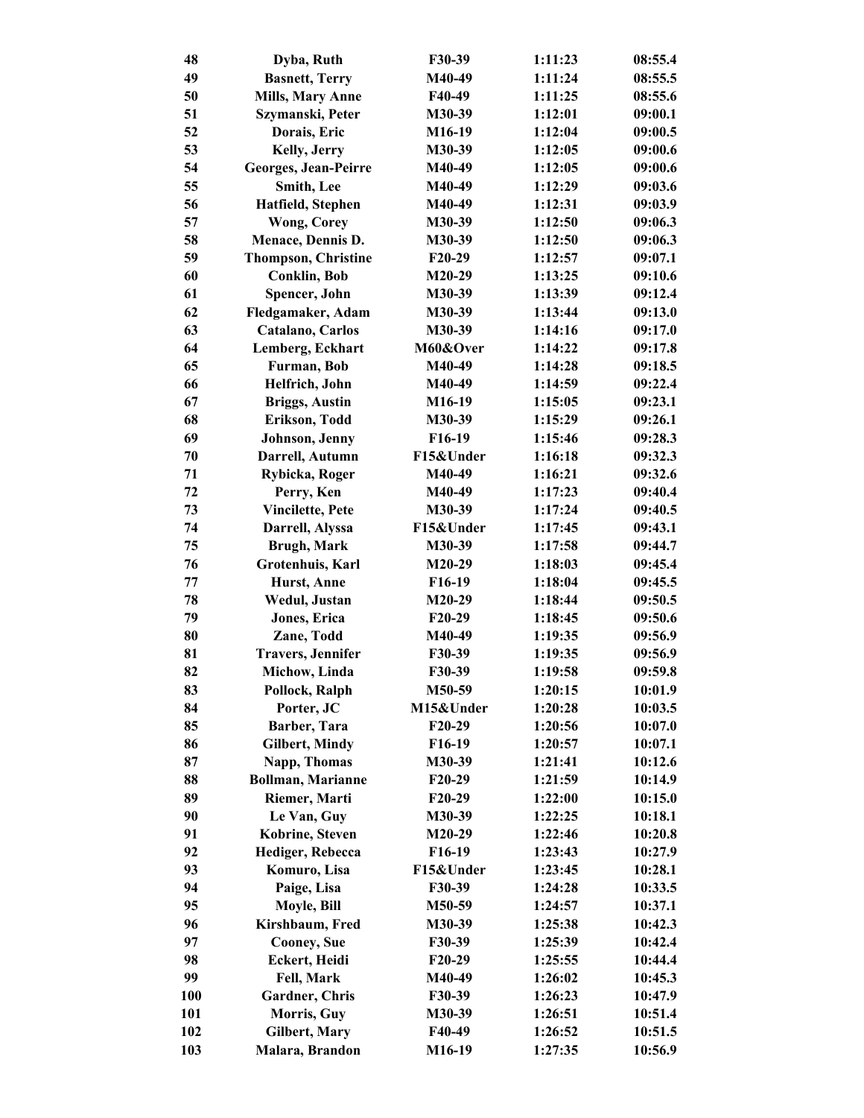| 48         | Dyba, Ruth                 | F30-39    | 1:11:23 | 08:55.4 |
|------------|----------------------------|-----------|---------|---------|
| 49         | <b>Basnett, Terry</b>      | M40-49    | 1:11:24 | 08:55.5 |
| 50         | <b>Mills, Mary Anne</b>    | F40-49    | 1:11:25 | 08:55.6 |
| 51         | Szymanski, Peter           | M30-39    | 1:12:01 | 09:00.1 |
| 52         | Dorais, Eric               | M16-19    | 1:12:04 | 09:00.5 |
| 53         | Kelly, Jerry               | M30-39    | 1:12:05 | 09:00.6 |
| 54         | Georges, Jean-Peirre       | M40-49    | 1:12:05 | 09:00.6 |
| 55         | Smith, Lee                 | M40-49    | 1:12:29 | 09:03.6 |
| 56         | Hatfield, Stephen          | M40-49    | 1:12:31 | 09:03.9 |
| 57         | <b>Wong, Corey</b>         | M30-39    | 1:12:50 | 09:06.3 |
| 58         | Menace, Dennis D.          | M30-39    | 1:12:50 | 09:06.3 |
| 59         | <b>Thompson, Christine</b> | F20-29    | 1:12:57 | 09:07.1 |
| 60         | <b>Conklin, Bob</b>        | $M20-29$  | 1:13:25 | 09:10.6 |
| 61         | Spencer, John              | M30-39    | 1:13:39 | 09:12.4 |
| 62         | Fledgamaker, Adam          | M30-39    | 1:13:44 | 09:13.0 |
| 63         | Catalano, Carlos           | M30-39    | 1:14:16 | 09:17.0 |
| 64         | Lemberg, Eckhart           | M60&Over  | 1:14:22 | 09:17.8 |
| 65         | Furman, Bob                | M40-49    | 1:14:28 | 09:18.5 |
| 66         | Helfrich, John             | M40-49    | 1:14:59 | 09:22.4 |
| 67         | <b>Briggs, Austin</b>      | M16-19    | 1:15:05 | 09:23.1 |
| 68         | Erikson, Todd              | M30-39    | 1:15:29 | 09:26.1 |
| 69         | Johnson, Jenny             | F16-19    | 1:15:46 | 09:28.3 |
| 70         | Darrell, Autumn            | F15&Under | 1:16:18 | 09:32.3 |
| 71         | Rybicka, Roger             | M40-49    | 1:16:21 | 09:32.6 |
| 72         | Perry, Ken                 | M40-49    | 1:17:23 | 09:40.4 |
| 73         | <b>Vincilette, Pete</b>    | M30-39    | 1:17:24 | 09:40.5 |
| 74         | Darrell, Alyssa            | F15&Under | 1:17:45 | 09:43.1 |
| 75         | <b>Brugh, Mark</b>         | M30-39    | 1:17:58 | 09:44.7 |
| 76         | Grotenhuis, Karl           | $M20-29$  | 1:18:03 | 09:45.4 |
| 77         | Hurst, Anne                | F16-19    | 1:18:04 | 09:45.5 |
| 78         | Wedul, Justan              | $M20-29$  | 1:18:44 | 09:50.5 |
| 79         | Jones, Erica               | F20-29    | 1:18:45 | 09:50.6 |
| 80         | Zane, Todd                 | M40-49    | 1:19:35 | 09:56.9 |
| 81         | <b>Travers, Jennifer</b>   | F30-39    | 1:19:35 | 09:56.9 |
| 82         | Michow, Linda              | F30-39    | 1:19:58 | 09:59.8 |
| 83         | Pollock, Ralph             | M50-59    | 1:20:15 | 10:01.9 |
| 84         | Porter, JC                 | M15&Under | 1:20:28 | 10:03.5 |
| 85         | Barber, Tara               | F20-29    | 1:20:56 | 10:07.0 |
| 86         | <b>Gilbert, Mindy</b>      | F16-19    | 1:20:57 | 10:07.1 |
| 87         | Napp, Thomas               | M30-39    | 1:21:41 | 10:12.6 |
| 88         | <b>Bollman, Marianne</b>   | $F20-29$  | 1:21:59 | 10:14.9 |
| 89         | Riemer, Marti              | $F20-29$  | 1:22:00 | 10:15.0 |
| 90         | Le Van, Guy                | M30-39    | 1:22:25 | 10:18.1 |
| 91         | Kobrine, Steven            | $M20-29$  | 1:22:46 | 10:20.8 |
| 92         | Hediger, Rebecca           | F16-19    | 1:23:43 | 10:27.9 |
| 93         | Komuro, Lisa               | F15&Under | 1:23:45 | 10:28.1 |
| 94         | Paige, Lisa                | F30-39    | 1:24:28 | 10:33.5 |
| 95         | Moyle, Bill                | M50-59    | 1:24:57 | 10:37.1 |
| 96         | Kirshbaum, Fred            | M30-39    | 1:25:38 | 10:42.3 |
| 97         | <b>Cooney</b> , Sue        | F30-39    | 1:25:39 | 10:42.4 |
| 98         | Eckert, Heidi              | $F20-29$  | 1:25:55 | 10:44.4 |
| 99         | Fell, Mark                 | M40-49    | 1:26:02 | 10:45.3 |
| <b>100</b> | Gardner, Chris             | F30-39    | 1:26:23 | 10:47.9 |
| 101        | Morris, Guy                | M30-39    | 1:26:51 | 10:51.4 |
| 102        | Gilbert, Mary              | F40-49    | 1:26:52 | 10:51.5 |
| 103        | Malara, Brandon            | M16-19    | 1:27:35 | 10:56.9 |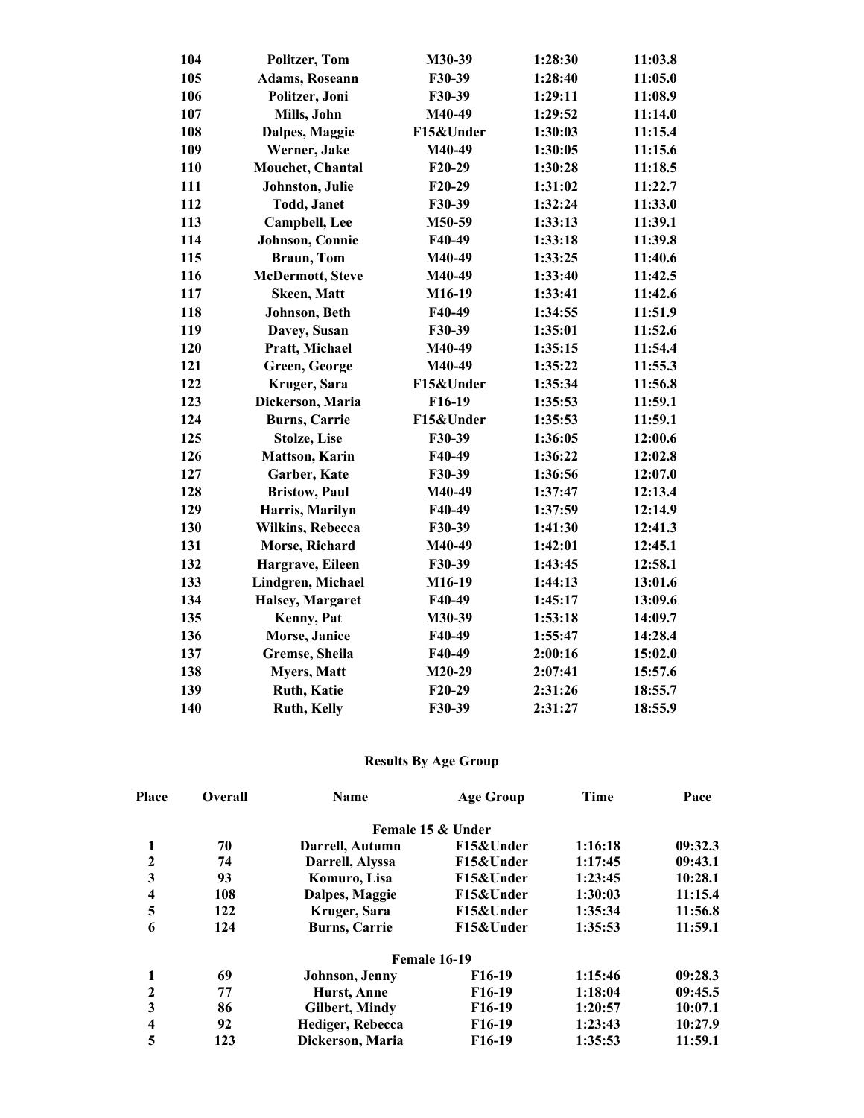| 104 | <b>Politzer</b> , Tom   | M30-39    | 1:28:30 | 11:03.8 |
|-----|-------------------------|-----------|---------|---------|
| 105 | <b>Adams, Roseann</b>   | F30-39    | 1:28:40 | 11:05.0 |
| 106 | Politzer, Joni          | F30-39    | 1:29:11 | 11:08.9 |
| 107 | Mills, John             | M40-49    | 1:29:52 | 11:14.0 |
| 108 | Dalpes, Maggie          | F15&Under | 1:30:03 | 11:15.4 |
| 109 | Werner, Jake            | M40-49    | 1:30:05 | 11:15.6 |
| 110 | Mouchet, Chantal        | F20-29    | 1:30:28 | 11:18.5 |
| 111 | Johnston, Julie         | $F20-29$  | 1:31:02 | 11:22.7 |
| 112 | <b>Todd</b> , Janet     | F30-39    | 1:32:24 | 11:33.0 |
| 113 | <b>Campbell</b> , Lee   | M50-59    | 1:33:13 | 11:39.1 |
| 114 | Johnson, Connie         | F40-49    | 1:33:18 | 11:39.8 |
| 115 | <b>Braun</b> , Tom      | M40-49    | 1:33:25 | 11:40.6 |
| 116 | <b>McDermott, Steve</b> | M40-49    | 1:33:40 | 11:42.5 |
| 117 | <b>Skeen, Matt</b>      | M16-19    | 1:33:41 | 11:42.6 |
| 118 | Johnson, Beth           | F40-49    | 1:34:55 | 11:51.9 |
| 119 | Davey, Susan            | F30-39    | 1:35:01 | 11:52.6 |
| 120 | Pratt, Michael          | M40-49    | 1:35:15 | 11:54.4 |
| 121 | Green, George           | M40-49    | 1:35:22 | 11:55.3 |
| 122 | Kruger, Sara            | F15&Under | 1:35:34 | 11:56.8 |
| 123 | Dickerson, Maria        | F16-19    | 1:35:53 | 11:59.1 |
| 124 | <b>Burns, Carrie</b>    | F15&Under | 1:35:53 | 11:59.1 |
| 125 | <b>Stolze</b> , Lise    | F30-39    | 1:36:05 | 12:00.6 |
| 126 | <b>Mattson, Karin</b>   | F40-49    | 1:36:22 | 12:02.8 |
| 127 | Garber, Kate            | F30-39    | 1:36:56 | 12:07.0 |
| 128 | <b>Bristow</b> , Paul   | M40-49    | 1:37:47 | 12:13.4 |
| 129 | Harris, Marilyn         | F40-49    | 1:37:59 | 12:14.9 |
| 130 | <b>Wilkins, Rebecca</b> | F30-39    | 1:41:30 | 12:41.3 |
| 131 | Morse, Richard          | M40-49    | 1:42:01 | 12:45.1 |
| 132 | Hargrave, Eileen        | F30-39    | 1:43:45 | 12:58.1 |
| 133 | Lindgren, Michael       | M16-19    | 1:44:13 | 13:01.6 |
| 134 | Halsey, Margaret        | F40-49    | 1:45:17 | 13:09.6 |
| 135 | Kenny, Pat              | M30-39    | 1:53:18 | 14:09.7 |
| 136 | Morse, Janice           | F40-49    | 1:55:47 | 14:28.4 |
| 137 | Gremse, Sheila          | F40-49    | 2:00:16 | 15:02.0 |
| 138 | <b>Myers, Matt</b>      | $M20-29$  | 2:07:41 | 15:57.6 |
| 139 | Ruth, Katie             | F20-29    | 2:31:26 | 18:55.7 |
| 140 | Ruth, Kelly             | F30-39    | 2:31:27 | 18:55.9 |

## **Results By Age Group**

| <b>Place</b>            | <b>Overall</b> | Name                 | Age Group           | Time    | Pace    |
|-------------------------|----------------|----------------------|---------------------|---------|---------|
|                         |                |                      | Female 15 & Under   |         |         |
| 1                       | 70             | Darrell, Autumn      | F15&Under           | 1:16:18 | 09:32.3 |
| $\mathbf{2}$            | 74             | Darrell, Alyssa      | F15&Under           | 1:17:45 | 09:43.1 |
| 3                       | 93             | Komuro, Lisa         | F15&Under           | 1:23:45 | 10:28.1 |
| $\overline{\mathbf{4}}$ | 108            | Dalpes, Maggie       | F15&Under           | 1:30:03 | 11:15.4 |
| 5                       | 122            | Kruger, Sara         | F15&Under           | 1:35:34 | 11:56.8 |
| 6                       | 124            | <b>Burns, Carrie</b> | F15&Under           | 1:35:53 | 11:59.1 |
|                         |                |                      | Female 16-19        |         |         |
| 1                       | 69             | Johnson, Jenny       | F <sub>16</sub> -19 | 1:15:46 | 09:28.3 |
| $\mathbf{2}$            | 77             | Hurst, Anne          | F <sub>16</sub> -19 | 1:18:04 | 09:45.5 |
| 3                       | 86             | Gilbert, Mindy       | F <sub>16</sub> -19 | 1:20:57 | 10:07.1 |
| $\overline{\mathbf{4}}$ | 92             | Hediger, Rebecca     | F <sub>16</sub> -19 | 1:23:43 | 10:27.9 |
| 5                       | 123            | Dickerson, Maria     | F <sub>16</sub> -19 | 1:35:53 | 11:59.1 |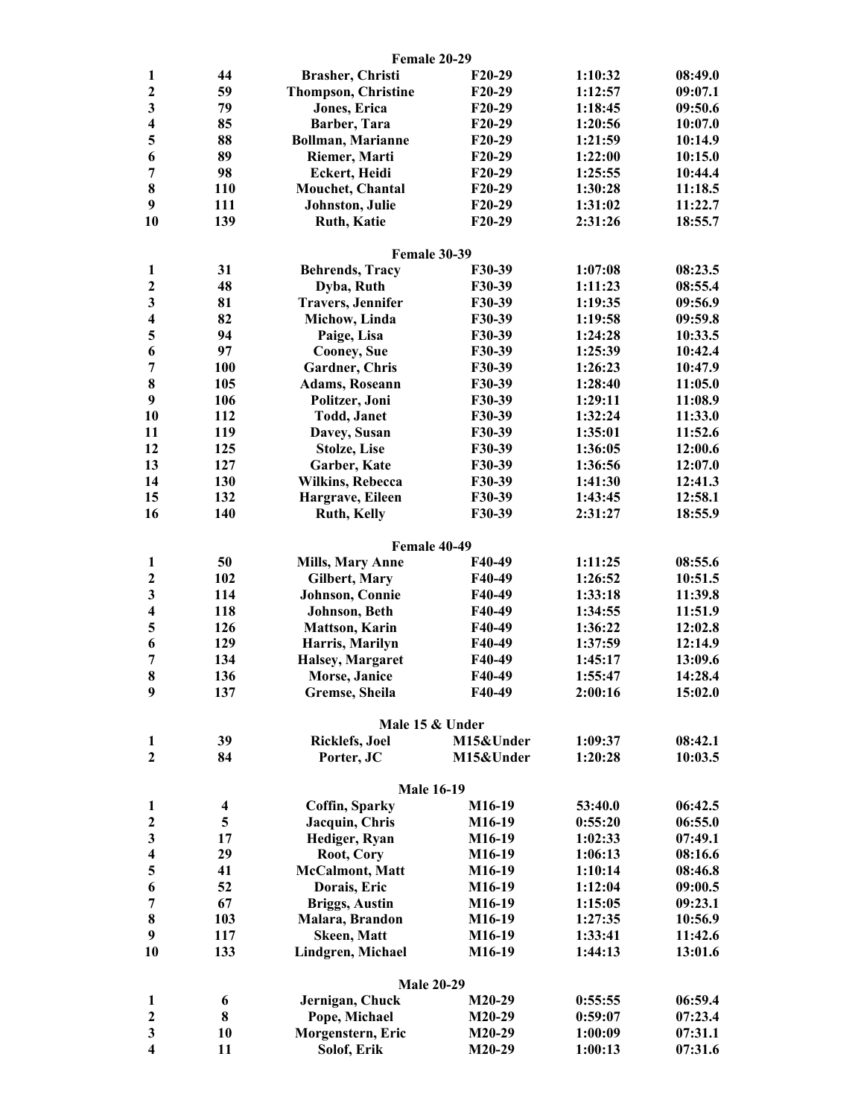|                         |                         | Female 20-29               |               |         |         |
|-------------------------|-------------------------|----------------------------|---------------|---------|---------|
| 1                       | 44                      | <b>Brasher, Christi</b>    | $F20-29$      | 1:10:32 | 08:49.0 |
| $\mathbf{2}$            | 59                      | <b>Thompson, Christine</b> | F20-29        | 1:12:57 | 09:07.1 |
| 3                       | 79                      | Jones, Erica               | F20-29        | 1:18:45 | 09:50.6 |
| $\overline{\mathbf{4}}$ | 85                      | Barber, Tara               | F20-29        | 1:20:56 | 10:07.0 |
| 5                       | 88                      | <b>Bollman, Marianne</b>   | F20-29        | 1:21:59 | 10:14.9 |
| 6                       | 89                      | Riemer, Marti              | $F20-29$      | 1:22:00 | 10:15.0 |
| $\overline{7}$          | 98                      | <b>Eckert, Heidi</b>       | $F20-29$      | 1:25:55 | 10:44.4 |
| 8                       | 110                     | Mouchet, Chantal           | $F20-29$      | 1:30:28 | 11:18.5 |
| 9                       | 111                     | Johnston, Julie            | F20-29        | 1:31:02 | 11:22.7 |
| 10                      | 139                     | <b>Ruth, Katie</b>         | F20-29        | 2:31:26 | 18:55.7 |
|                         |                         | Female 30-39               |               |         |         |
| 1                       | 31                      | <b>Behrends, Tracy</b>     | F30-39        | 1:07:08 | 08:23.5 |
| $\boldsymbol{2}$        | 48                      | Dyba, Ruth                 | F30-39        | 1:11:23 | 08:55.4 |
| 3                       | 81                      | <b>Travers, Jennifer</b>   | F30-39        | 1:19:35 | 09:56.9 |
| $\overline{\mathbf{4}}$ | 82                      | Michow, Linda              | F30-39        | 1:19:58 | 09:59.8 |
| 5                       | 94                      | Paige, Lisa                | F30-39        | 1:24:28 | 10:33.5 |
| 6                       | 97                      | <b>Cooney</b> , Sue        | <b>F30-39</b> | 1:25:39 | 10:42.4 |
| $\overline{7}$          | 100                     | Gardner, Chris             | F30-39        | 1:26:23 | 10:47.9 |
| 8                       | 105                     | <b>Adams, Roseann</b>      | F30-39        | 1:28:40 | 11:05.0 |
| 9                       | 106                     | Politzer, Joni             | F30-39        | 1:29:11 | 11:08.9 |
| 10                      | 112                     | <b>Todd, Janet</b>         | F30-39        | 1:32:24 | 11:33.0 |
| 11                      | 119                     | Davey, Susan               | F30-39        | 1:35:01 | 11:52.6 |
| 12                      | 125                     | <b>Stolze, Lise</b>        | F30-39        | 1:36:05 | 12:00.6 |
| 13                      | 127                     | Garber, Kate               | F30-39        | 1:36:56 | 12:07.0 |
| 14                      | 130                     | <b>Wilkins, Rebecca</b>    | F30-39        | 1:41:30 | 12:41.3 |
| 15                      | 132                     | Hargrave, Eileen           | F30-39        | 1:43:45 | 12:58.1 |
| 16                      | 140                     | <b>Ruth, Kelly</b>         | F30-39        | 2:31:27 | 18:55.9 |
|                         |                         | Female 40-49               |               |         |         |
| $\mathbf{1}$            | 50                      | <b>Mills, Mary Anne</b>    | F40-49        | 1:11:25 | 08:55.6 |
| $\boldsymbol{2}$        | 102                     | Gilbert, Mary              | F40-49        | 1:26:52 | 10:51.5 |
| 3                       | 114                     | Johnson, Connie            | F40-49        | 1:33:18 | 11:39.8 |
| $\overline{\mathbf{4}}$ | 118                     | Johnson, Beth              | F40-49        | 1:34:55 | 11:51.9 |
| 5                       | 126                     | <b>Mattson, Karin</b>      | F40-49        | 1:36:22 | 12:02.8 |
| 6                       | 129                     | Harris, Marilyn            | F40-49        | 1:37:59 | 12:14.9 |
| $\overline{7}$          | 134                     | Halsey, Margaret           | F40-49        | 1:45:17 | 13:09.6 |
| 8                       | 136                     | <b>Morse</b> , Janice      | F40-49        | 1:55:47 | 14:28.4 |
| $\boldsymbol{9}$        | 137                     | Gremse, Sheila             | F40-49        | 2:00:16 | 15:02.0 |
|                         |                         | Male 15 & Under            |               |         |         |
| $\mathbf{1}$            | 39                      | <b>Ricklefs</b> , Joel     | M15&Under     | 1:09:37 | 08:42.1 |
| $\mathbf{2}$            | 84                      | Porter, JC                 | M15&Under     | 1:20:28 | 10:03.5 |
|                         |                         |                            |               |         |         |
|                         |                         | <b>Male 16-19</b>          |               |         |         |
| 1                       | $\overline{\mathbf{4}}$ | Coffin, Sparky             | M16-19        | 53:40.0 | 06:42.5 |
| $\mathbf{2}$            | 5                       | Jacquin, Chris             | M16-19        | 0:55:20 | 06:55.0 |
| 3                       | 17                      | Hediger, Ryan              | M16-19        | 1:02:33 | 07:49.1 |
| $\overline{\mathbf{4}}$ | 29                      | Root, Cory                 | M16-19        | 1:06:13 | 08:16.6 |
| 5                       | 41                      | <b>McCalmont</b> , Matt    | M16-19        | 1:10:14 | 08:46.8 |
| 6                       | 52                      | Dorais, Eric               | M16-19        | 1:12:04 | 09:00.5 |
| $\overline{7}$          | 67                      | <b>Briggs, Austin</b>      | M16-19        | 1:15:05 | 09:23.1 |
| $\bf{8}$                | 103                     | Malara, Brandon            | M16-19        | 1:27:35 | 10:56.9 |
| $\boldsymbol{9}$        | 117                     | <b>Skeen, Matt</b>         | M16-19        | 1:33:41 | 11:42.6 |
| 10                      | 133                     | Lindgren, Michael          | M16-19        | 1:44:13 | 13:01.6 |
|                         |                         | <b>Male 20-29</b>          |               |         |         |
| 1                       | 6                       | Jernigan, Chuck            | $M20-29$      | 0:55:55 | 06:59.4 |
| $\overline{2}$          | 8                       | Pope, Michael              | $M20-29$      | 0:59:07 | 07:23.4 |
| 3                       | 10                      | Morgenstern, Eric          | $M20-29$      | 1:00:09 | 07:31.1 |
| 4                       | 11                      | Solof, Erik                | M20-29        | 1:00:13 | 07:31.6 |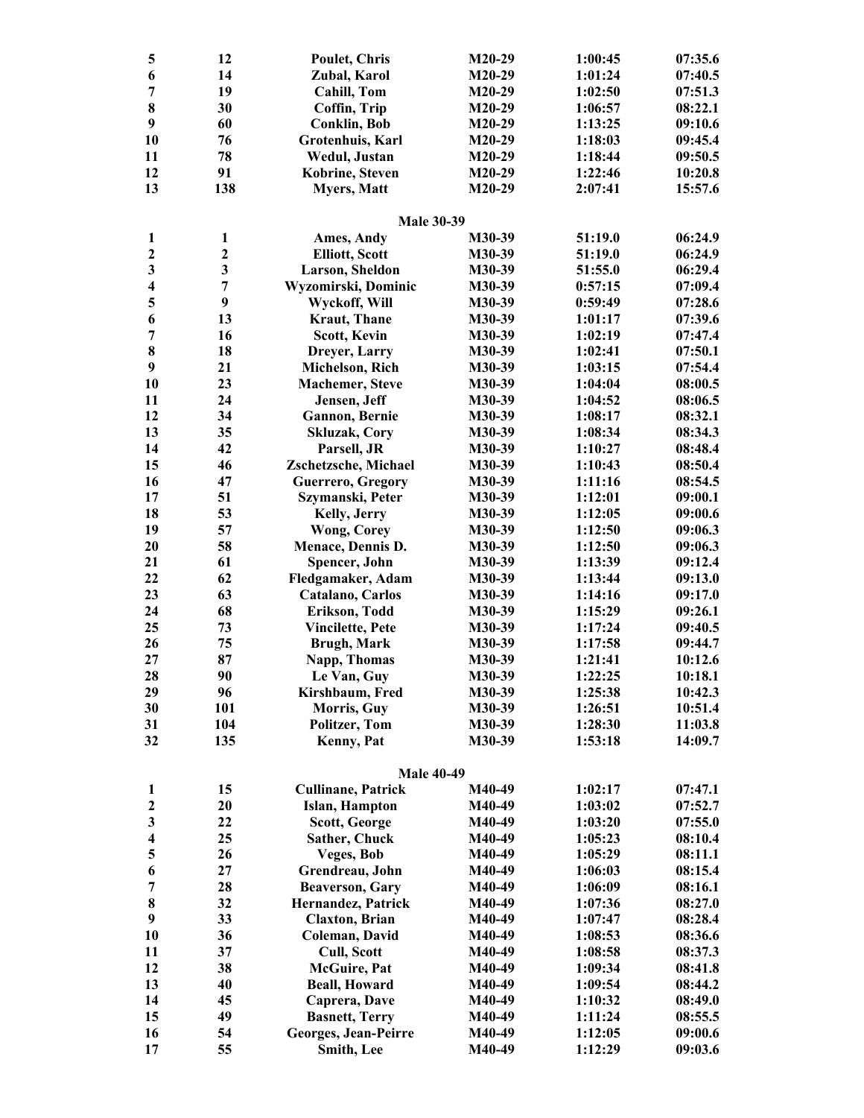| 5                       | 12               | <b>Poulet, Chris</b>      | $M20-29$ | 1:00:45 | 07:35.6 |
|-------------------------|------------------|---------------------------|----------|---------|---------|
| 6                       | 14               | Zubal, Karol              | $M20-29$ | 1:01:24 | 07:40.5 |
| 7                       | 19               | <b>Cahill, Tom</b>        | $M20-29$ | 1:02:50 | 07:51.3 |
| 8                       | 30               | Coffin, Trip              | $M20-29$ | 1:06:57 | 08:22.1 |
| 9                       | 60               | <b>Conklin, Bob</b>       | $M20-29$ | 1:13:25 | 09:10.6 |
| 10                      | 76               | Grotenhuis, Karl          | $M20-29$ | 1:18:03 | 09:45.4 |
| 11                      | 78               | Wedul, Justan             | M20-29   | 1:18:44 | 09:50.5 |
| 12                      | 91               | Kobrine, Steven           | $M20-29$ | 1:22:46 | 10:20.8 |
| 13                      | 138              | <b>Myers, Matt</b>        | $M20-29$ | 2:07:41 | 15:57.6 |
|                         |                  |                           |          |         |         |
|                         |                  | <b>Male 30-39</b>         |          |         |         |
| 1                       | $\mathbf{1}$     | Ames, Andy                | M30-39   | 51:19.0 | 06:24.9 |
| $\mathbf{2}$            | $\boldsymbol{2}$ | <b>Elliott, Scott</b>     | M30-39   | 51:19.0 | 06:24.9 |
| $\overline{\mathbf{3}}$ | $\mathbf{3}$     | Larson, Sheldon           | M30-39   | 51:55.0 | 06:29.4 |
| $\overline{\mathbf{4}}$ | 7                | Wyzomirski, Dominic       | M30-39   | 0:57:15 | 07:09.4 |
| 5                       | $\boldsymbol{9}$ | Wyckoff, Will             | M30-39   | 0:59:49 | 07:28.6 |
| 6                       | 13               | <b>Kraut</b> , Thane      | M30-39   | 1:01:17 | 07:39.6 |
| $\overline{7}$          | 16               | Scott, Kevin              | M30-39   | 1:02:19 | 07:47.4 |
| $\bf 8$                 | 18               | Dreyer, Larry             | M30-39   | 1:02:41 | 07:50.1 |
| 9                       | 21               | Michelson, Rich           | M30-39   | 1:03:15 | 07:54.4 |
| 10                      | 23               | <b>Machemer</b> , Steve   | M30-39   | 1:04:04 | 08:00.5 |
| 11                      | 24               | Jensen, Jeff              | M30-39   | 1:04:52 | 08:06.5 |
| 12                      | 34               | <b>Gannon</b> , Bernie    | M30-39   | 1:08:17 | 08:32.1 |
| 13                      | 35               | <b>Skluzak, Cory</b>      | M30-39   | 1:08:34 | 08:34.3 |
| 14                      | 42               | Parsell, JR               | M30-39   | 1:10:27 | 08:48.4 |
| 15                      | 46               | Zschetzsche, Michael      | M30-39   | 1:10:43 | 08:50.4 |
| 16                      | 47               | Guerrero, Gregory         | M30-39   | 1:11:16 | 08:54.5 |
| 17                      | 51               | Szymanski, Peter          | M30-39   | 1:12:01 | 09:00.1 |
| 18                      | 53               | Kelly, Jerry              | M30-39   | 1:12:05 | 09:00.6 |
| 19                      | 57               | <b>Wong, Corey</b>        | M30-39   | 1:12:50 | 09:06.3 |
| 20                      | 58               | Menace, Dennis D.         | M30-39   | 1:12:50 | 09:06.3 |
| 21                      | 61               | Spencer, John             | M30-39   | 1:13:39 | 09:12.4 |
| 22                      | 62               | Fledgamaker, Adam         | M30-39   | 1:13:44 | 09:13.0 |
| 23                      | 63               | Catalano, Carlos          | M30-39   | 1:14:16 | 09:17.0 |
| 24                      | 68               | Erikson, Todd             | M30-39   | 1:15:29 | 09:26.1 |
| 25                      | 73               | <b>Vincilette, Pete</b>   | M30-39   | 1:17:24 | 09:40.5 |
| 26                      | 75               | <b>Brugh, Mark</b>        | M30-39   | 1:17:58 | 09:44.7 |
| 27                      | 87               | Napp, Thomas              | M30-39   | 1:21:41 | 10:12.6 |
| 28                      | 90               | Le Van, Guy               | M30-39   | 1:22:25 | 10:18.1 |
| 29                      | 96               | Kirshbaum, Fred           | M30-39   | 1:25:38 | 10:42.3 |
| 30                      | 101              | Morris, Guy               | M30-39   | 1:26:51 | 10:51.4 |
| 31                      | 104              |                           | M30-39   |         | 11:03.8 |
|                         |                  | Politzer, Tom             |          | 1:28:30 |         |
| 32                      | 135              | Kenny, Pat                | M30-39   | 1:53:18 | 14:09.7 |
|                         |                  | <b>Male 40-49</b>         |          |         |         |
| 1                       | 15               | <b>Cullinane, Patrick</b> | M40-49   | 1:02:17 | 07:47.1 |
| $\boldsymbol{2}$        | 20               | Islan, Hampton            | M40-49   | 1:03:02 | 07:52.7 |
| $\overline{\mathbf{3}}$ | 22               | Scott, George             | M40-49   | 1:03:20 | 07:55.0 |
| $\overline{\mathbf{4}}$ | 25               | Sather, Chuck             | M40-49   | 1:05:23 | 08:10.4 |
| 5                       | 26               | Veges, Bob                | M40-49   | 1:05:29 | 08:11.1 |
| 6                       | 27               | Grendreau, John           | M40-49   | 1:06:03 | 08:15.4 |
| $\overline{7}$          | 28               | <b>Beaverson, Gary</b>    | M40-49   | 1:06:09 | 08:16.1 |
| 8                       | 32               | Hernandez, Patrick        | M40-49   | 1:07:36 | 08:27.0 |
| 9                       | 33               | <b>Claxton</b> , Brian    | M40-49   | 1:07:47 | 08:28.4 |
| 10                      |                  |                           |          |         |         |
|                         | 36               | Coleman, David            | M40-49   | 1:08:53 | 08:36.6 |
| 11                      | 37               | Cull, Scott               | M40-49   | 1:08:58 | 08:37.3 |
| 12                      | 38               | <b>McGuire</b> , Pat      | M40-49   | 1:09:34 | 08:41.8 |
| 13                      | 40               | <b>Beall, Howard</b>      | M40-49   | 1:09:54 | 08:44.2 |
| 14                      | 45               | Caprera, Dave             | M40-49   | 1:10:32 | 08:49.0 |
| 15                      | 49               | <b>Basnett, Terry</b>     | M40-49   | 1:11:24 | 08:55.5 |
| 16                      | 54               | Georges, Jean-Peirre      | M40-49   | 1:12:05 | 09:00.6 |
| 17                      | 55               | Smith, Lee                | M40-49   | 1:12:29 | 09:03.6 |